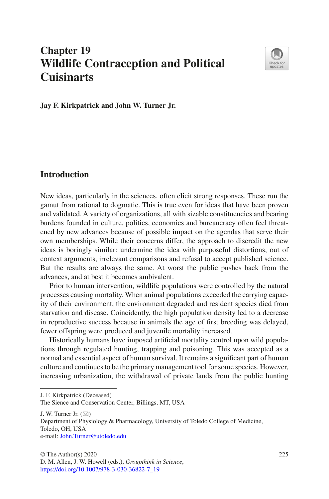# **Chapter 19 Wildlife Contraception and Political Cuisinarts**



**Jay F. Kirkpatrick and John W. Turner Jr.**

## **Introduction**

New ideas, particularly in the sciences, often elicit strong responses. These run the gamut from rational to dogmatic. This is true even for ideas that have been proven and validated. A variety of organizations, all with sizable constituencies and bearing burdens founded in culture, politics, economics and bureaucracy often feel threatened by new advances because of possible impact on the agendas that serve their own memberships. While their concerns differ, the approach to discredit the new ideas is boringly similar: undermine the idea with purposeful distortions, out of context arguments, irrelevant comparisons and refusal to accept published science. But the results are always the same. At worst the public pushes back from the advances, and at best it becomes ambivalent.

Prior to human intervention, wildlife populations were controlled by the natural processes causing mortality. When animal populations exceeded the carrying capacity of their environment, the environment degraded and resident species died from starvation and disease. Coincidently, the high population density led to a decrease in reproductive success because in animals the age of first breeding was delayed, fewer offspring were produced and juvenile mortality increased.

Historically humans have imposed artificial mortality control upon wild populations through regulated hunting, trapping and poisoning. This was accepted as a normal and essential aspect of human survival. It remains a significant part of human culture and continues to be the primary management tool for some species. However, increasing urbanization, the withdrawal of private lands from the public hunting

J. W. Turner Jr.  $(\boxtimes)$ 

J. F. Kirkpatrick (Deceased)

The Sience and Conservation Center, Billings, MT, USA

Department of Physiology & Pharmacology, University of Toledo College of Medicine, Toledo, OH, USA e-mail: John.Turner@utoledo.edu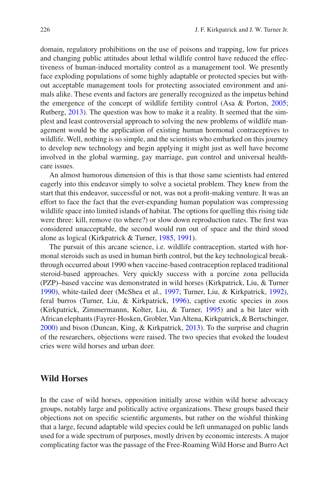domain, regulatory prohibitions on the use of poisons and trapping, low fur prices and changing public attitudes about lethal wildlife control have reduced the effectiveness of human-induced mortality control as a management tool. We presently face exploding populations of some highly adaptable or protected species but without acceptable management tools for protecting associated environment and animals alike. These events and factors are generally recognized as the impetus behind the emergence of the concept of wildlife fertility control (Asa & Porton, [2005;](#page-12-0) Rutberg, [2013](#page-13-0)). The question was how to make it a reality. It seemed that the simplest and least controversial approach to solving the new problems of wildlife management would be the application of existing human hormonal contraceptives to wildlife. Well, nothing is so simple, and the scientists who embarked on this journey to develop new technology and begin applying it might just as well have become involved in the global warming, gay marriage, gun control and universal healthcare issues.

An almost humorous dimension of this is that those same scientists had entered eagerly into this endeavor simply to solve a societal problem. They knew from the start that this endeavor, successful or not, was not a profit-making venture. It was an effort to face the fact that the ever-expanding human population was compressing wildlife space into limited islands of habitat. The options for quelling this rising tide were three: kill, remove (to where?) or slow down reproduction rates. The first was considered unacceptable, the second would run out of space and the third stood alone as logical (Kirkpatrick & Turner, [1985,](#page-12-1) [1991\)](#page-12-2).

The pursuit of this arcane science, i.e. wildlife contraception, started with hormonal steroids such as used in human birth control, but the key technological breakthrough occurred about 1990 when vaccine-based contraception replaced traditional steroid-based approaches. Very quickly success with a porcine zona pellucida (PZP)–based vaccine was demonstrated in wild horses (Kirkpatrick, Liu, & Turner [1990\)](#page-12-3), white-tailed deer (McShea et al., [1997](#page-13-1); Turner, Liu, & Kirkpatrick, [1992\)](#page-13-2), feral burros (Turner, Liu, & Kirkpatrick, [1996](#page-13-3)), captive exotic species in zoos (Kirkpatrick, Zimmermannn, Kolter, Liu, & Turner, [1995\)](#page-12-4) and a bit later with African elephants (Fayrer-Hosken, Grobler, Van Altena, Kirkpatrick, & Bertschinger, [2000\)](#page-12-5) and bison (Duncan, King, & Kirkpatrick, [2013\)](#page-12-6). To the surprise and chagrin of the researchers, objections were raised. The two species that evoked the loudest cries were wild horses and urban deer.

### **Wild Horses**

In the case of wild horses, opposition initially arose within wild horse advocacy groups, notably large and politically active organizations. These groups based their objections not on specific scientific arguments, but rather on the wishful thinking that a large, fecund adaptable wild species could be left unmanaged on public lands used for a wide spectrum of purposes, mostly driven by economic interests. A major complicating factor was the passage of the Free-Roaming Wild Horse and Burro Act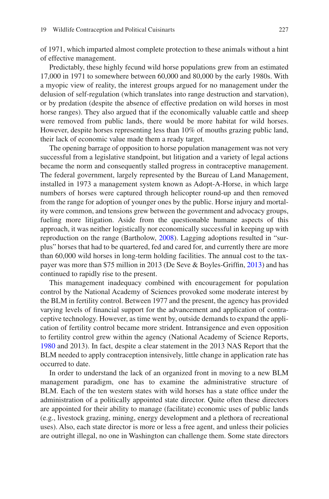of 1971, which imparted almost complete protection to these animals without a hint of effective management.

Predictably, these highly fecund wild horse populations grew from an estimated 17,000 in 1971 to somewhere between 60,000 and 80,000 by the early 1980s. With a myopic view of reality, the interest groups argued for no management under the delusion of self-regulation (which translates into range destruction and starvation), or by predation (despite the absence of effective predation on wild horses in most horse ranges). They also argued that if the economically valuable cattle and sheep were removed from public lands, there would be more habitat for wild horses. However, despite horses representing less than 10% of mouths grazing public land, their lack of economic value made them a ready target.

The opening barrage of opposition to horse population management was not very successful from a legislative standpoint, but litigation and a variety of legal actions became the norm and consequently stalled progress in contraceptive management. The federal government, largely represented by the Bureau of Land Management, installed in 1973 a management system known as Adopt-A-Horse, in which large numbers of horses were captured through helicopter round-up and then removed from the range for adoption of younger ones by the public. Horse injury and mortality were common, and tensions grew between the government and advocacy groups, fueling more litigation. Aside from the questionable humane aspects of this approach, it was neither logistically nor economically successful in keeping up with reproduction on the range (Bartholow, [2008](#page-12-7)). Lagging adoptions resulted in "surplus" horses that had to be quartered, fed and cared for, and currently there are more than 60,000 wild horses in long-term holding facilities. The annual cost to the taxpayer was more than \$75 million in 2013 (De Seve & Boyles-Griffin, [2013](#page-12-8)) and has continued to rapidly rise to the present.

This management inadequacy combined with encouragement for population control by the National Academy of Sciences provoked some moderate interest by the BLM in fertility control. Between 1977 and the present, the agency has provided varying levels of financial support for the advancement and application of contraceptive technology. However, as time went by, outside demands to expand the application of fertility control became more strident. Intransigence and even opposition to fertility control grew within the agency (National Academy of Science Reports, [1980](#page-13-4) and 2013). In fact, despite a clear statement in the 2013 NAS Report that the BLM needed to apply contraception intensively, little change in application rate has occurred to date.

In order to understand the lack of an organized front in moving to a new BLM management paradigm, one has to examine the administrative structure of BLM. Each of the ten western states with wild horses has a state office under the administration of a politically appointed state director. Quite often these directors are appointed for their ability to manage (facilitate) economic uses of public lands (e.g., livestock grazing, mining, energy development and a plethora of recreational uses). Also, each state director is more or less a free agent, and unless their policies are outright illegal, no one in Washington can challenge them. Some state directors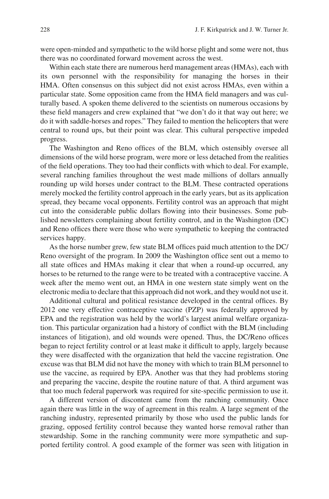were open-minded and sympathetic to the wild horse plight and some were not, thus there was no coordinated forward movement across the west.

Within each state there are numerous herd management areas (HMAs), each with its own personnel with the responsibility for managing the horses in their HMA. Often consensus on this subject did not exist across HMAs, even within a particular state. Some opposition came from the HMA field managers and was culturally based. A spoken theme delivered to the scientists on numerous occasions by these field managers and crew explained that "we don't do it that way out here; we do it with saddle-horses and ropes." They failed to mention the helicopters that were central to round ups, but their point was clear. This cultural perspective impeded progress.

The Washington and Reno offices of the BLM, which ostensibly oversee all dimensions of the wild horse program, were more or less detached from the realities of the field operations. They too had their conflicts with which to deal. For example, several ranching families throughout the west made millions of dollars annually rounding up wild horses under contract to the BLM. These contracted operations merely mocked the fertility control approach in the early years, but as its application spread, they became vocal opponents. Fertility control was an approach that might cut into the considerable public dollars flowing into their businesses. Some published newsletters complaining about fertility control, and in the Washington (DC) and Reno offices there were those who were sympathetic to keeping the contracted services happy.

As the horse number grew, few state BLM offices paid much attention to the DC/ Reno oversight of the program. In 2009 the Washington office sent out a memo to all state offices and HMAs making it clear that when a round-up occurred, any horses to be returned to the range were to be treated with a contraceptive vaccine. A week after the memo went out, an HMA in one western state simply went on the electronic media to declare that this approach did not work, and they would not use it.

Additional cultural and political resistance developed in the central offices. By 2012 one very effective contraceptive vaccine (PZP) was federally approved by EPA and the registration was held by the world's largest animal welfare organization. This particular organization had a history of conflict with the BLM (including instances of litigation), and old wounds were opened. Thus, the DC/Reno offices began to reject fertility control or at least make it difficult to apply, largely because they were disaffected with the organization that held the vaccine registration. One excuse was that BLM did not have the money with which to train BLM personnel to use the vaccine, as required by EPA. Another was that they had problems storing and preparing the vaccine, despite the routine nature of that. A third argument was that too much federal paperwork was required for site-specific permission to use it.

A different version of discontent came from the ranching community. Once again there was little in the way of agreement in this realm. A large segment of the ranching industry, represented primarily by those who used the public lands for grazing, opposed fertility control because they wanted horse removal rather than stewardship. Some in the ranching community were more sympathetic and supported fertility control. A good example of the former was seen with litigation in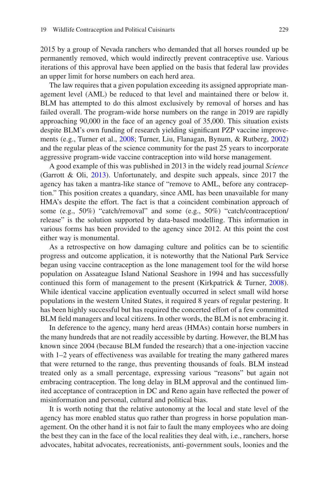2015 by a group of Nevada ranchers who demanded that all horses rounded up be permanently removed, which would indirectly prevent contraceptive use. Various iterations of this approval have been applied on the basis that federal law provides an upper limit for horse numbers on each herd area.

The law requires that a given population exceeding its assigned appropriate management level (AML) be reduced to that level and maintained there or below it. BLM has attempted to do this almost exclusively by removal of horses and has failed overall. The program-wide horse numbers on the range in 2019 are rapidly approaching 90,000 in the face of an agency goal of 35,000. This situation exists despite BLM's own funding of research yielding significant PZP vaccine improvements (e.g., Turner et al., [2008](#page-13-5); Turner, Liu, Flanagan, Bynum, & Rutberg, [2002](#page-13-6)) and the regular pleas of the science community for the past 25 years to incorporate aggressive program-wide vaccine contraception into wild horse management.

A good example of this was published in 2013 in the widely read journal *Science* (Garrott & Oli, [2013\)](#page-12-9). Unfortunately, and despite such appeals, since 2017 the agency has taken a mantra-like stance of "remove to AML, before any contraception." This position creates a quandary, since AML has been unavailable for many HMA's despite the effort. The fact is that a coincident combination approach of some (e.g., 50%) "catch/removal" and some (e.g., 50%) "catch/contraception/ release" is the solution supported by data-based modelling. This information in various forms has been provided to the agency since 2012. At this point the cost either way is monumental.

As a retrospective on how damaging culture and politics can be to scientific progress and outcome application, it is noteworthy that the National Park Service began using vaccine contraception as the lone management tool for the wild horse population on Assateague Island National Seashore in 1994 and has successfully continued this form of management to the present (Kirkpatrick & Turner, [2008\)](#page-12-10). While identical vaccine application eventually occurred in select small wild horse populations in the western United States, it required 8 years of regular pestering. It has been highly successful but has required the concerted effort of a few committed BLM field managers and local citizens. In other words, the BLM is not embracing it.

In deference to the agency, many herd areas (HMAs) contain horse numbers in the many hundreds that are not readily accessible by darting. However, the BLM has known since 2004 (because BLM funded the research) that a one-injection vaccine with 1–2 years of effectiveness was available for treating the many gathered mares that were returned to the range, thus preventing thousands of foals. BLM instead treated only as a small percentage, expressing various "reasons" but again not embracing contraception. The long delay in BLM approval and the continued limited acceptance of contraception in DC and Reno again have reflected the power of misinformation and personal, cultural and political bias.

It is worth noting that the relative autonomy at the local and state level of the agency has more enabled status quo rather than progress in horse population management. On the other hand it is not fair to fault the many employees who are doing the best they can in the face of the local realities they deal with, i.e., ranchers, horse advocates, habitat advocates, recreationists, anti-government souls, loonies and the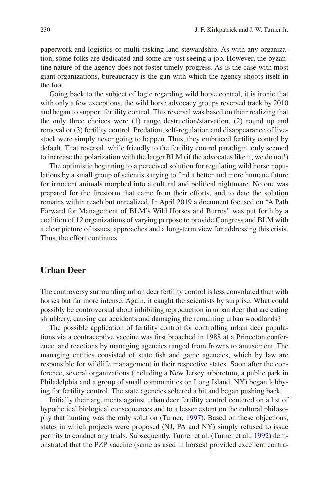paperwork and logistics of multi-tasking land stewardship. As with any organization, some folks are dedicated and some are just seeing a job. However, the byzantine nature of the agency does not foster timely progress. As is the case with most giant organizations, bureaucracy is the gun with which the agency shoots itself in the foot.

Going back to the subject of logic regarding wild horse control, it is ironic that with only a few exceptions, the wild horse advocacy groups reversed track by 2010 and began to support fertility control. This reversal was based on their realizing that the only three choices were (1) range destruction/starvation, (2) round up and removal or (3) fertility control. Predation, self-regulation and disappearance of livestock were simply never going to happen. Thus, they embraced fertility control by default. That reversal, while friendly to the fertility control paradigm, only seemed to increase the polarization with the larger BLM (if the advocates like it, we do not!)

The optimistic beginning to a perceived solution for regulating wild horse populations by a small group of scientists trying to find a better and more humane future for innocent animals morphed into a cultural and political nightmare. No one was prepared for the firestorm that came from their efforts, and to date the solution remains within reach but unrealized. In April 2019 a document focused on "A Path Forward for Management of BLM's Wild Horses and Burros" was put forth by a coalition of 12 organizations of varying purpose to provide Congress and BLM with a clear picture of issues, approaches and a long-term view for addressing this crisis. Thus, the effort continues.

## **Urban Deer**

The controversy surrounding urban deer fertility control is less convoluted than with horses but far more intense. Again, it caught the scientists by surprise. What could possibly be controversial about inhibiting reproduction in urban deer that are eating shrubbery, causing car accidents and damaging the remaining urban woodlands?

The possible application of fertility control for controlling urban deer populations via a contraceptive vaccine was first broached in 1988 at a Princeton conference, and reactions by managing agencies ranged from frowns to amusement. The managing entities consisted of state fish and game agencies, which by law are responsible for wildlife management in their respective states. Soon after the conference, several organizations (including a New Jersey arboretum, a public park in Philadelphia and a group of small communities on Long Island, NY) began lobbying for fertility control. The state agencies sobered a bit and began pushing back.

Initially their arguments against urban deer fertility control centered on a list of hypothetical biological consequences and to a lesser extent on the cultural philosophy that hunting was the only solution (Turner, [1997\)](#page-13-7). Based on these objections, states in which projects were proposed (NJ, PA and NY) simply refused to issue permits to conduct any trials. Subsequently, Turner et al. (Turner et al., [1992](#page-13-2)) demonstrated that the PZP vaccine (same as used in horses) provided excellent contra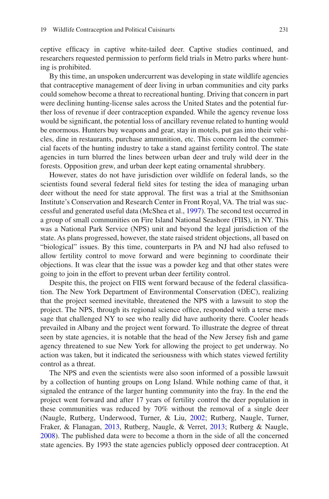ceptive efficacy in captive white-tailed deer. Captive studies continued, and researchers requested permission to perform field trials in Metro parks where hunting is prohibited.

By this time, an unspoken undercurrent was developing in state wildlife agencies that contraceptive management of deer living in urban communities and city parks could somehow become a threat to recreational hunting. Driving that concern in part were declining hunting-license sales across the United States and the potential further loss of revenue if deer contraception expanded. While the agency revenue loss would be significant, the potential loss of ancillary revenue related to hunting would be enormous. Hunters buy weapons and gear, stay in motels, put gas into their vehicles, dine in restaurants, purchase ammunition, etc. This concern led the commercial facets of the hunting industry to take a stand against fertility control. The state agencies in turn blurred the lines between urban deer and truly wild deer in the forests. Opposition grew, and urban deer kept eating ornamental shrubbery.

However, states do not have jurisdiction over wildlife on federal lands, so the scientists found several federal field sites for testing the idea of managing urban deer without the need for state approval. The first was a trial at the Smithsonian Institute's Conservation and Research Center in Front Royal, VA. The trial was successful and generated useful data (McShea et al., [1997](#page-13-1)). The second test occurred in a group of small communities on Fire Island National Seashore (FIIS), in NY. This was a National Park Service (NPS) unit and beyond the legal jurisdiction of the state. As plans progressed, however, the state raised strident objections, all based on "biological" issues. By this time, counterparts in PA and NJ had also refused to allow fertility control to move forward and were beginning to coordinate their objections. It was clear that the issue was a powder keg and that other states were going to join in the effort to prevent urban deer fertility control.

Despite this, the project on FIIS went forward because of the federal classification. The New York Department of Environmental Conservation (DEC), realizing that the project seemed inevitable, threatened the NPS with a lawsuit to stop the project. The NPS, through its regional science office, responded with a terse message that challenged NY to see who really did have authority there. Cooler heads prevailed in Albany and the project went forward. To illustrate the degree of threat seen by state agencies, it is notable that the head of the New Jersey fish and game agency threatened to sue New York for allowing the project to get underway. No action was taken, but it indicated the seriousness with which states viewed fertility control as a threat.

The NPS and even the scientists were also soon informed of a possible lawsuit by a collection of hunting groups on Long Island. While nothing came of that, it signaled the entrance of the larger hunting community into the fray. In the end the project went forward and after 17 years of fertility control the deer population in these communities was reduced by 70% without the removal of a single deer (Naugle, Rutberg, Underwood, Turner, & Liu, [2002;](#page-13-8) Rutberg, Naugle, Turner, Fraker, & Flanagan, [2013,](#page-13-9) Rutberg, Naugle, & Verret, [2013;](#page-13-10) Rutberg & Naugle, [2008\)](#page-13-11). The published data were to become a thorn in the side of all the concerned state agencies. By 1993 the state agencies publicly opposed deer contraception. At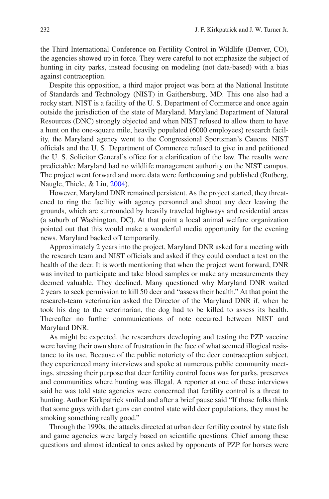the Third International Conference on Fertility Control in Wildlife (Denver, CO), the agencies showed up in force. They were careful to not emphasize the subject of hunting in city parks, instead focusing on modeling (not data-based) with a bias against contraception.

Despite this opposition, a third major project was born at the National Institute of Standards and Technology (NIST) in Gaithersburg, MD. This one also had a rocky start. NIST is a facility of the U. S. Department of Commerce and once again outside the jurisdiction of the state of Maryland. Maryland Department of Natural Resources (DNC) strongly objected and when NIST refused to allow them to have a hunt on the one-square mile, heavily populated (6000 employees) research facility, the Maryland agency went to the Congressional Sportsman's Caucus. NIST officials and the U. S. Department of Commerce refused to give in and petitioned the U. S. Solicitor General's office for a clarification of the law. The results were predictable; Maryland had no wildlife management authority on the NIST campus. The project went forward and more data were forthcoming and published (Rutberg, Naugle, Thiele, & Liu, [2004](#page-13-12)).

However, Maryland DNR remained persistent. As the project started, they threatened to ring the facility with agency personnel and shoot any deer leaving the grounds, which are surrounded by heavily traveled highways and residential areas (a suburb of Washington, DC). At that point a local animal welfare organization pointed out that this would make a wonderful media opportunity for the evening news. Maryland backed off temporarily.

Approximately 2 years into the project, Maryland DNR asked for a meeting with the research team and NIST officials and asked if they could conduct a test on the health of the deer. It is worth mentioning that when the project went forward, DNR was invited to participate and take blood samples or make any measurements they deemed valuable. They declined. Many questioned why Maryland DNR waited 2 years to seek permission to kill 50 deer and "assess their health." At that point the research-team veterinarian asked the Director of the Maryland DNR if, when he took his dog to the veterinarian, the dog had to be killed to assess its health. Thereafter no further communications of note occurred between NIST and Maryland DNR.

As might be expected, the researchers developing and testing the PZP vaccine were having their own share of frustration in the face of what seemed illogical resistance to its use. Because of the public notoriety of the deer contraception subject, they experienced many interviews and spoke at numerous public community meetings, stressing their purpose that deer fertility control focus was for parks, preserves and communities where hunting was illegal. A reporter at one of these interviews said he was told state agencies were concerned that fertility control is a threat to hunting. Author Kirkpatrick smiled and after a brief pause said "If those folks think that some guys with dart guns can control state wild deer populations, they must be smoking something really good."

Through the 1990s, the attacks directed at urban deer fertility control by state fish and game agencies were largely based on scientific questions. Chief among these questions and almost identical to ones asked by opponents of PZP for horses were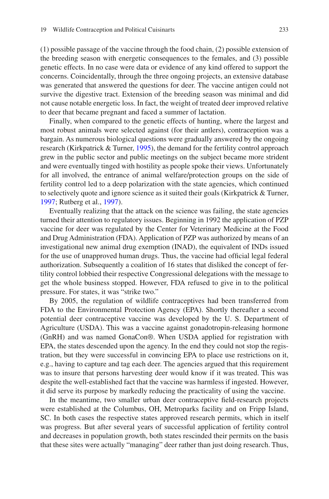(1) possible passage of the vaccine through the food chain, (2) possible extension of the breeding season with energetic consequences to the females, and (3) possible genetic effects. In no case were data or evidence of any kind offered to support the concerns. Coincidentally, through the three ongoing projects, an extensive database was generated that answered the questions for deer. The vaccine antigen could not survive the digestive tract. Extension of the breeding season was minimal and did not cause notable energetic loss. In fact, the weight of treated deer improved relative to deer that became pregnant and faced a summer of lactation.

Finally, when compared to the genetic effects of hunting, where the largest and most robust animals were selected against (for their antlers), contraception was a bargain. As numerous biological questions were gradually answered by the ongoing research (Kirkpatrick & Turner, [1995\)](#page-12-11), the demand for the fertility control approach grew in the public sector and public meetings on the subject became more strident and were eventually tinged with hostility as people spoke their views. Unfortunately for all involved, the entrance of animal welfare/protection groups on the side of fertility control led to a deep polarization with the state agencies, which continued to selectively quote and ignore science as it suited their goals (Kirkpatrick & Turner, [1997;](#page-12-12) Rutberg et al., [1997](#page-13-13)).

Eventually realizing that the attack on the science was failing, the state agencies turned their attention to regulatory issues. Beginning in 1992 the application of PZP vaccine for deer was regulated by the Center for Veterinary Medicine at the Food and Drug Administration (FDA). Application of PZP was authorized by means of an investigational new animal drug exemption (INAD), the equivalent of INDs issued for the use of unapproved human drugs. Thus, the vaccine had official legal federal authorization. Subsequently a coalition of 16 states that disliked the concept of fertility control lobbied their respective Congressional delegations with the message to get the whole business stopped. However, FDA refused to give in to the political pressure. For states, it was "strike two."

By 2005, the regulation of wildlife contraceptives had been transferred from FDA to the Environmental Protection Agency (EPA). Shortly thereafter a second potential deer contraceptive vaccine was developed by the U. S. Department of Agriculture (USDA). This was a vaccine against gonadotropin-releasing hormone (GnRH) and was named GonaCon®. When USDA applied for registration with EPA, the states descended upon the agency. In the end they could not stop the registration, but they were successful in convincing EPA to place use restrictions on it, e.g., having to capture and tag each deer. The agencies argued that this requirement was to insure that persons harvesting deer would know if it was treated. This was despite the well-established fact that the vaccine was harmless if ingested. However, it did serve its purpose by markedly reducing the practicality of using the vaccine.

In the meantime, two smaller urban deer contraceptive field-research projects were established at the Columbus, OH, Metroparks facility and on Fripp Island, SC. In both cases the respective states approved research permits, which in itself was progress. But after several years of successful application of fertility control and decreases in population growth, both states rescinded their permits on the basis that these sites were actually "managing" deer rather than just doing research. Thus,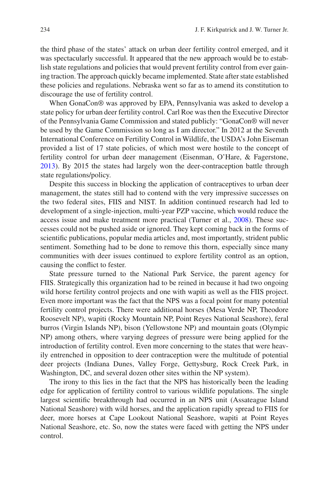the third phase of the states' attack on urban deer fertility control emerged, and it was spectacularly successful. It appeared that the new approach would be to establish state regulations and policies that would prevent fertility control from ever gaining traction. The approach quickly became implemented. State after state established these policies and regulations. Nebraska went so far as to amend its constitution to discourage the use of fertility control.

When GonaCon® was approved by EPA, Pennsylvania was asked to develop a state policy for urban deer fertility control. Carl Roe was then the Executive Director of the Pennsylvania Game Commission and stated publicly: "GonaCon® will never be used by the Game Commission so long as I am director." In 2012 at the Seventh International Conference on Fertility Control in Wildlife, the USDA's John Eiseman provided a list of 17 state policies, of which most were hostile to the concept of fertility control for urban deer management (Eisenman, O'Hare, & Fagerstone, [2013\)](#page-12-13). By 2015 the states had largely won the deer-contraception battle through state regulations/policy.

Despite this success in blocking the application of contraceptives to urban deer management, the states still had to contend with the very impressive successes on the two federal sites, FIIS and NIST. In addition continued research had led to development of a single-injection, multi-year PZP vaccine, which would reduce the access issue and make treatment more practical (Turner et al., [2008](#page-13-5)). These successes could not be pushed aside or ignored. They kept coming back in the forms of scientific publications, popular media articles and, most importantly, strident public sentiment. Something had to be done to remove this thorn, especially since many communities with deer issues continued to explore fertility control as an option, causing the conflict to fester.

State pressure turned to the National Park Service, the parent agency for FIIS. Strategically this organization had to be reined in because it had two ongoing wild horse fertility control projects and one with wapiti as well as the FIIS project. Even more important was the fact that the NPS was a focal point for many potential fertility control projects. There were additional horses (Mesa Verde NP, Theodore Roosevelt NP), wapiti (Rocky Mountain NP, Point Reyes National Seashore), feral burros (Virgin Islands NP), bison (Yellowstone NP) and mountain goats (Olympic NP) among others, where varying degrees of pressure were being applied for the introduction of fertility control. Even more concerning to the states that were heavily entrenched in opposition to deer contraception were the multitude of potential deer projects (Indiana Dunes, Valley Forge, Gettysburg, Rock Creek Park, in Washington, DC, and several dozen other sites within the NP system).

The irony to this lies in the fact that the NPS has historically been the leading edge for application of fertility control to various wildlife populations. The single largest scientific breakthrough had occurred in an NPS unit (Assateague Island National Seashore) with wild horses, and the application rapidly spread to FIIS for deer, more horses at Cape Lookout National Seashore, wapiti at Point Reyes National Seashore, etc. So, now the states were faced with getting the NPS under control.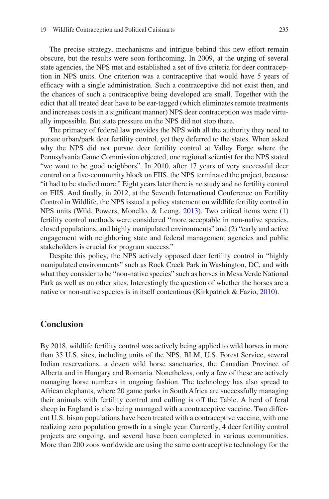The precise strategy, mechanisms and intrigue behind this new effort remain obscure, but the results were soon forthcoming. In 2009, at the urging of several state agencies, the NPS met and established a set of five criteria for deer contraception in NPS units. One criterion was a contraceptive that would have 5 years of efficacy with a single administration. Such a contraceptive did not exist then, and the chances of such a contraceptive being developed are small. Together with the edict that all treated deer have to be ear-tagged (which eliminates remote treatments and increases costs in a significant manner) NPS deer contraception was made virtually impossible. But state pressure on the NPS did not stop there.

The primacy of federal law provides the NPS with all the authority they need to pursue urban/park deer fertility control, yet they deferred to the states. When asked why the NPS did not pursue deer fertility control at Valley Forge where the Pennsylvania Game Commission objected, one regional scientist for the NPS stated "we want to be good neighbors". In 2010, after 17 years of very successful deer control on a five-community block on FIIS, the NPS terminated the project, because "it had to be studied more." Eight years later there is no study and no fertility control on FIIS. And finally, in 2012, at the Seventh International Conference on Fertility Control in Wildlife, the NPS issued a policy statement on wildlife fertility control in NPS units (Wild, Powers, Monello, & Leong, [2013\)](#page-13-14). Two critical items were (1) fertility control methods were considered "more acceptable in non-native species, closed populations, and highly manipulated environments" and (2) "early and active engagement with neighboring state and federal management agencies and public stakeholders is crucial for program success."

Despite this policy, the NPS actively opposed deer fertility control in "highly manipulated environments" such as Rock Creek Park in Washington, DC, and with what they consider to be "non-native species" such as horses in Mesa Verde National Park as well as on other sites. Interestingly the question of whether the horses are a native or non-native species is in itself contentious (Kirkpatrick & Fazio, [2010](#page-12-14)).

### **Conclusion**

By 2018, wildlife fertility control was actively being applied to wild horses in more than 35 U.S. sites, including units of the NPS, BLM, U.S. Forest Service, several Indian reservations, a dozen wild horse sanctuaries, the Canadian Province of Alberta and in Hungary and Romania. Nonetheless, only a few of these are actively managing horse numbers in ongoing fashion. The technology has also spread to African elephants, where 20 game parks in South Africa are successfully managing their animals with fertility control and culling is off the Table. A herd of feral sheep in England is also being managed with a contraceptive vaccine. Two different U.S. bison populations have been treated with a contraceptive vaccine, with one realizing zero population growth in a single year. Currently, 4 deer fertility control projects are ongoing, and several have been completed in various communities. More than 200 zoos worldwide are using the same contraceptive technology for the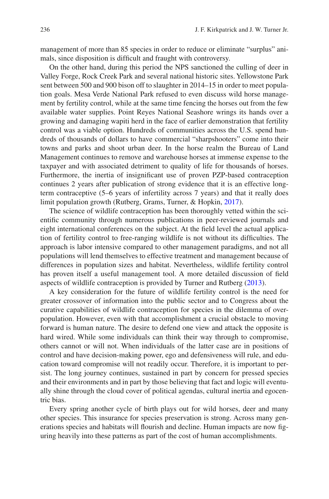management of more than 85 species in order to reduce or eliminate "surplus" animals, since disposition is difficult and fraught with controversy.

On the other hand, during this period the NPS sanctioned the culling of deer in Valley Forge, Rock Creek Park and several national historic sites. Yellowstone Park sent between 500 and 900 bison off to slaughter in 2014–15 in order to meet population goals. Mesa Verde National Park refused to even discuss wild horse management by fertility control, while at the same time fencing the horses out from the few available water supplies. Point Reyes National Seashore wrings its hands over a growing and damaging wapiti herd in the face of earlier demonstration that fertility control was a viable option. Hundreds of communities across the U.S. spend hundreds of thousands of dollars to have commercial "sharpshooters" come into their towns and parks and shoot urban deer. In the horse realm the Bureau of Land Management continues to remove and warehouse horses at immense expense to the taxpayer and with associated detriment to quality of life for thousands of horses. Furthermore, the inertia of insignificant use of proven PZP-based contraception continues 2 years after publication of strong evidence that it is an effective longterm contraceptive (5–6 years of infertility across 7 years) and that it really does limit population growth (Rutberg, Grams, Turner, & Hopkin, [2017\)](#page-13-15).

The science of wildlife contraception has been thoroughly vetted within the scientific community through numerous publications in peer-reviewed journals and eight international conferences on the subject. At the field level the actual application of fertility control to free-ranging wildlife is not without its difficulties. The approach is labor intensive compared to other management paradigms, and not all populations will lend themselves to effective treatment and management because of differences in population sizes and habitat. Nevertheless, wildlife fertility control has proven itself a useful management tool. A more detailed discussion of field aspects of wildlife contraception is provided by Turner and Rutberg [\(2013](#page-13-16)).

A key consideration for the future of wildlife fertility control is the need for greater crossover of information into the public sector and to Congress about the curative capabilities of wildlife contraception for species in the dilemma of overpopulation. However, even with that accomplishment a crucial obstacle to moving forward is human nature. The desire to defend one view and attack the opposite is hard wired. While some individuals can think their way through to compromise, others cannot or will not. When individuals of the latter case are in positions of control and have decision-making power, ego and defensiveness will rule, and education toward compromise will not readily occur. Therefore, it is important to persist. The long journey continues, sustained in part by concern for pressed species and their environments and in part by those believing that fact and logic will eventually shine through the cloud cover of political agendas, cultural inertia and egocentric bias.

Every spring another cycle of birth plays out for wild horses, deer and many other species. This insurance for species preservation is strong. Across many generations species and habitats will flourish and decline. Human impacts are now figuring heavily into these patterns as part of the cost of human accomplishments.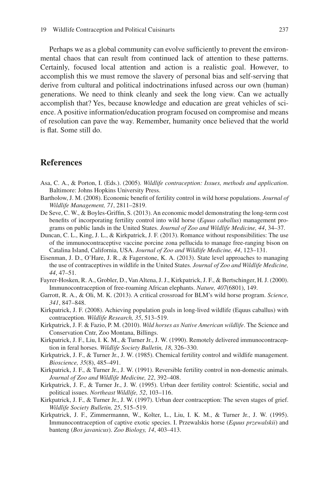Perhaps we as a global community can evolve sufficiently to prevent the environmental chaos that can result from continued lack of attention to these patterns. Certainly, focused local attention and action is a realistic goal. However, to accomplish this we must remove the slavery of personal bias and self-serving that derive from cultural and political indoctrinations infused across our own (human) generations. We need to think cleanly and seek the long view. Can we actually accomplish that? Yes, because knowledge and education are great vehicles of science. A positive information/education program focused on compromise and means of resolution can pave the way. Remember, humanity once believed that the world is flat. Some still do.

## **References**

- <span id="page-12-0"></span>Asa, C. A., & Porton, I. (Eds.). (2005). *Wildlife contraception: Issues, methods and application*. Baltimore: Johns Hopkins University Press.
- <span id="page-12-7"></span>Bartholow, J. M. (2008). Economic benefit of fertility control in wild horse populations. *Journal of Wildlife Management, 71*, 2811–2819.
- <span id="page-12-8"></span>De Seve, C. W., & Boyles-Griffin, S. (2013). An economic model demonstrating the long-term cost benefits of incorporating fertility control into wild horse (*Equus caballus*) management programs on public lands in the United States. *Journal of Zoo and Wildlife Medicine, 44*, 34–37.
- <span id="page-12-6"></span>Duncan, C. L., King, J. L., & Kirkpatrick, J. F. (2013). Romance without responsibilities: The use of the immunocontraceptive vaccine porcine zona pellucida to manage free-ranging bison on Catalina Island, California, USA. *Journal of Zoo and Wildlife Medicine, 44*, 123–131.
- <span id="page-12-13"></span>Eisenman, J. D., O'Hare, J. R., & Fagerstone, K. A. (2013). State level approaches to managing the use of contraceptives in wildlife in the United States. *Journal of Zoo and Wildlife Medicine, 44*, 47–51.
- <span id="page-12-5"></span>Fayrer-Hosken, R. A., Grobler, D., Van Altena, J. J., Kirkpatrick, J. F., & Bertschinger, H. J. (2000). Immunocontraception of free-roaming African elephants. *Nature, 407*(6801), 149.
- <span id="page-12-9"></span>Garrott, R. A., & Oli, M. K. (2013). A critical crossroad for BLM's wild horse program. *Science, 341*, 847–848.
- <span id="page-12-10"></span>Kirkpatrick, J. F. (2008). Achieving population goals in long-lived wildlife (Equus caballus) with contraception. *Wildlife Research, 35*, 513–519.
- <span id="page-12-14"></span>Kirkpatrick, J. F. & Fazio, P. M. (2010). *Wild horses as Native American wildlife*. The Science and Conservation Cntr, Zoo Montana, Billings.
- <span id="page-12-3"></span>Kirkpatrick, J. F., Liu, I. K. M., & Turner Jr., J. W. (1990). Remotely delivered immunocontraception in feral horses. *Wildlife Society Bulletin, 18*, 326–330.
- <span id="page-12-1"></span>Kirkpatrick, J. F., & Turner Jr., J. W. (1985). Chemical fertility control and wildlife management. *Bioscience, 35*(8), 485–491.
- <span id="page-12-2"></span>Kirkpatrick, J. F., & Turner Jr., J. W. (1991). Reversible fertility control in non-domestic animals. *Journal of Zoo and Wildlife Medicine, 22*, 392–408.
- <span id="page-12-11"></span>Kirkpatrick, J. F., & Turner Jr., J. W. (1995). Urban deer fertility control: Scientific, social and political issues. *Northeast Wildlife, 52*, 103–116.
- <span id="page-12-12"></span>Kirkpatrick, J. F., & Turner Jr., J. W. (1997). Urban deer contraception: The seven stages of grief. *Wildlife Society Bulletin, 25*, 515–519.
- <span id="page-12-4"></span>Kirkpatrick, J. F., Zimmermannn, W., Kolter, L., Liu, I. K. M., & Turner Jr., J. W. (1995). Immunocontraception of captive exotic species. I. Przewalskis horse (*Equus przewalskii*) and banteng (*Bos javanicus*). *Zoo Biology, 14*, 403–413.